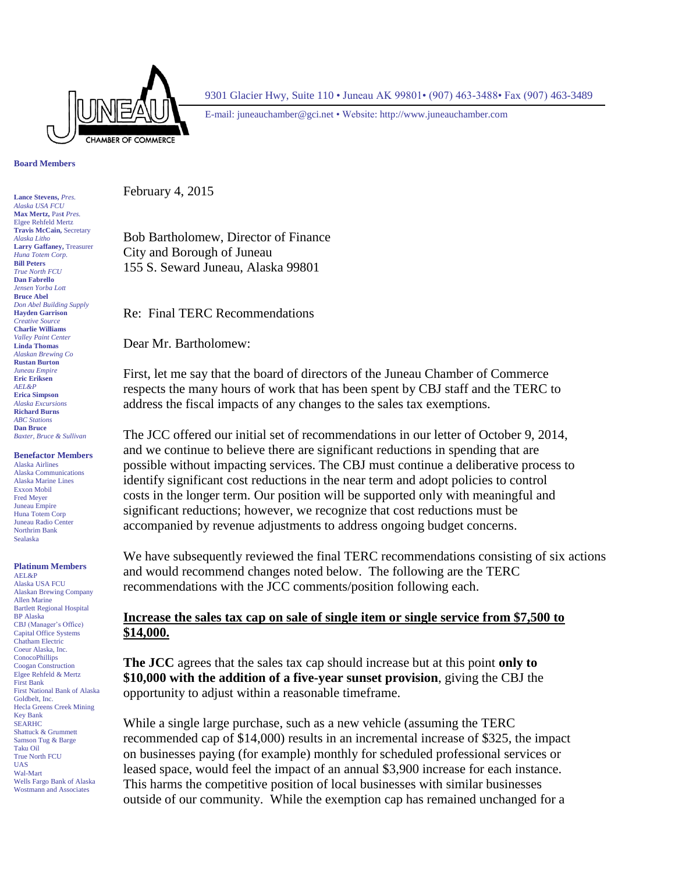

9301 Glacier Hwy, Suite 110 • Juneau AK 99801• (907) 463-3488• Fax (907) 463-3489

E-mail: [juneauchamber@gci.net](mailto:juneauchamber@gci.net) • Website: http://www.juneauchamber.com

**Board Members**

**Lance Stevens,** *Pres. Alaska USA FCU* **Max Mertz,** Pas**t** *Pres.*  Elgee Rehfeld Mertz **Travis McCain,** Secretary *Alaska Litho* **Larry Gaffaney,** Treasurer *Huna Totem Corp.* **Bill Peters** *True North FCU* **Dan Fabrello** *Jensen Yorba Lott* **Bruce Abel** *Don Abel Building Supply* **Hayden Garrison** *Creative Source* **Charlie Williams** *Valley Paint Center* **Linda Thomas** *Alaskan Brewing Co* **Rustan Burton** *Juneau Empire* **Eric Eriksen** *AEL&P* **Erica Simpson** *Alaska Excursions* **Richard Burns** *ABC Stations* **Dan Bruce** *Baxter, Bruce & Sullivan*

#### **Benefactor Members**

Alaska Airlines Alaska Communications Alaska Marine Lines Exxon Mobil Fred Meyer Juneau Empire Huna Totem Corp Juneau Radio Center Northrim Bank Sealaska

#### **Platinum Members**

AEL&P Alaska USA FCU Alaskan Brewing Company Allen Marine Bartlett Regional Hospital BP Alaska CBJ (Manager's Office) Capital Office Systems Chatham Electric Coeur Alaska, Inc. **ConocoPhillips** Coogan Construction Elgee Rehfeld & Mertz First Bank First National Bank of Alaska Goldbelt, Inc. Hecla Greens Creek Mining Key Bank SEARHC Shattuck & Grummett Samson Tug & Barge Taku Oil True North FCU UAS Wal-Mart Wells Fargo Bank of Alaska Wostmann and Associates

February 4, 2015

Bob Bartholomew, Director of Finance City and Borough of Juneau 155 S. Seward Juneau, Alaska 99801

Re: Final TERC Recommendations

Dear Mr. Bartholomew:

First, let me say that the board of directors of the Juneau Chamber of Commerce respects the many hours of work that has been spent by CBJ staff and the TERC to address the fiscal impacts of any changes to the sales tax exemptions.

The JCC offered our initial set of recommendations in our letter of October 9, 2014, and we continue to believe there are significant reductions in spending that are possible without impacting services. The CBJ must continue a deliberative process to identify significant cost reductions in the near term and adopt policies to control costs in the longer term. Our position will be supported only with meaningful and significant reductions; however, we recognize that cost reductions must be accompanied by revenue adjustments to address ongoing budget concerns.

We have subsequently reviewed the final TERC recommendations consisting of six actions and would recommend changes noted below. The following are the TERC recommendations with the JCC comments/position following each.

#### **Increase the sales tax cap on sale of single item or single service from \$7,500 to \$14,000.**

**The JCC** agrees that the sales tax cap should increase but at this point **only to \$10,000 with the addition of a five-year sunset provision**, giving the CBJ the opportunity to adjust within a reasonable timeframe.

While a single large purchase, such as a new vehicle (assuming the TERC recommended cap of \$14,000) results in an incremental increase of \$325, the impact on businesses paying (for example) monthly for scheduled professional services or leased space, would feel the impact of an annual \$3,900 increase for each instance. This harms the competitive position of local businesses with similar businesses outside of our community. While the exemption cap has remained unchanged for a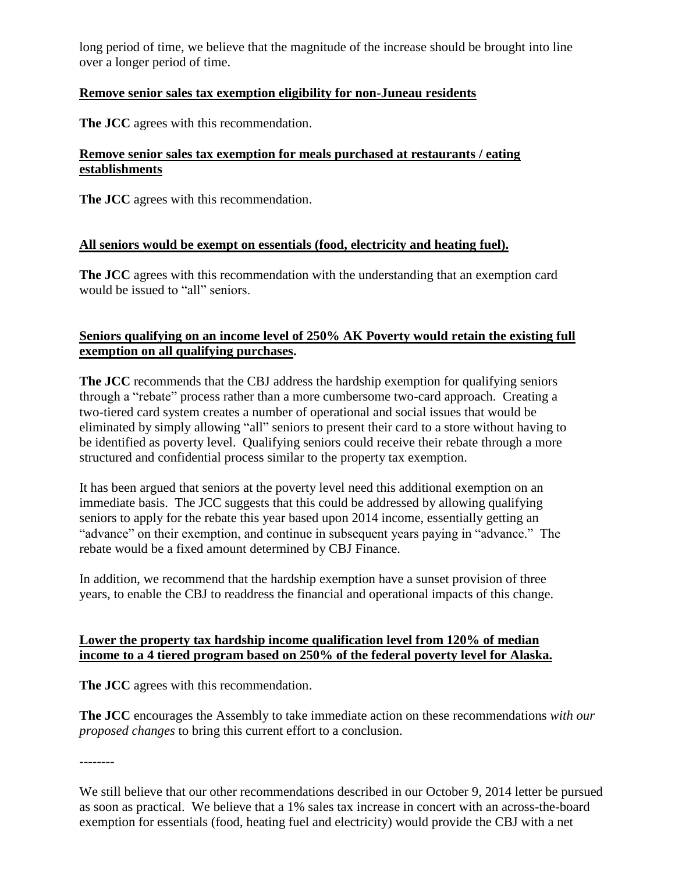long period of time, we believe that the magnitude of the increase should be brought into line over a longer period of time.

## **Remove senior sales tax exemption eligibility for non-Juneau residents**

**The JCC** agrees with this recommendation.

### **Remove senior sales tax exemption for meals purchased at restaurants / eating establishments**

**The JCC** agrees with this recommendation.

## **All seniors would be exempt on essentials (food, electricity and heating fuel).**

**The JCC** agrees with this recommendation with the understanding that an exemption card would be issued to "all" seniors.

# **Seniors qualifying on an income level of 250% AK Poverty would retain the existing full exemption on all qualifying purchases.**

**The JCC** recommends that the CBJ address the hardship exemption for qualifying seniors through a "rebate" process rather than a more cumbersome two-card approach. Creating a two-tiered card system creates a number of operational and social issues that would be eliminated by simply allowing "all" seniors to present their card to a store without having to be identified as poverty level. Qualifying seniors could receive their rebate through a more structured and confidential process similar to the property tax exemption.

It has been argued that seniors at the poverty level need this additional exemption on an immediate basis. The JCC suggests that this could be addressed by allowing qualifying seniors to apply for the rebate this year based upon 2014 income, essentially getting an "advance" on their exemption, and continue in subsequent years paying in "advance." The rebate would be a fixed amount determined by CBJ Finance.

In addition, we recommend that the hardship exemption have a sunset provision of three years, to enable the CBJ to readdress the financial and operational impacts of this change.

## **Lower the property tax hardship income qualification level from 120% of median income to a 4 tiered program based on 250% of the federal poverty level for Alaska.**

**The JCC** agrees with this recommendation.

**The JCC** encourages the Assembly to take immediate action on these recommendations *with our proposed changes* to bring this current effort to a conclusion.

--------

We still believe that our other recommendations described in our October 9, 2014 letter be pursued as soon as practical. We believe that a 1% sales tax increase in concert with an across-the-board exemption for essentials (food, heating fuel and electricity) would provide the CBJ with a net